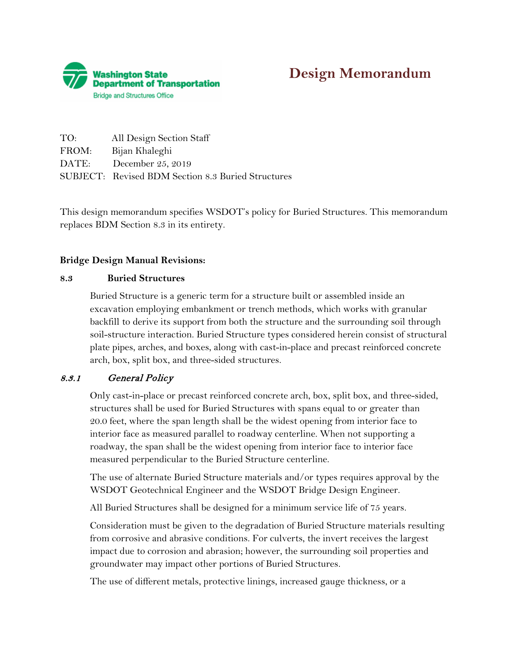

# **Design Memorandum**

| TO:   | All Design Section Staff                                  |
|-------|-----------------------------------------------------------|
| FROM: | Bijan Khaleghi                                            |
| DATE: | December 25, 2019                                         |
|       | <b>SUBJECT:</b> Revised BDM Section 8.3 Buried Structures |

 replaces BDM Section 8.3 in its entirety. This design memorandum specifies WSDOT's policy for Buried Structures. This memorandum

### **Bridge Design Manual Revisions:**

#### **8.3 Buried Structures**

 plate pipes, arches, and boxes, along with cast-in-place and precast reinforced concrete arch, box, split box, and three-sided structures. Buried Structure is a generic term for a structure built or assembled inside an excavation employing embankment or trench methods, which works with granular backfill to derive its support from both the structure and the surrounding soil through soil-structure interaction. Buried Structure types considered herein consist of structural

### 8.3.1 General Policy

 20.0 feet, where the span length shall be the widest opening from interior face to Only cast-in-place or precast reinforced concrete arch, box, split box, and three-sided, structures shall be used for Buried Structures with spans equal to or greater than interior face as measured parallel to roadway centerline. When not supporting a roadway, the span shall be the widest opening from interior face to interior face measured perpendicular to the Buried Structure centerline.

The use of alternate Buried Structure materials and/or types requires approval by the WSDOT Geotechnical Engineer and the WSDOT Bridge Design Engineer.

All Buried Structures shall be designed for a minimum service life of 75 years.

Consideration must be given to the degradation of Buried Structure materials resulting from corrosive and abrasive conditions. For culverts, the invert receives the largest impact due to corrosion and abrasion; however, the surrounding soil properties and groundwater may impact other portions of Buried Structures.

The use of different metals, protective linings, increased gauge thickness, or a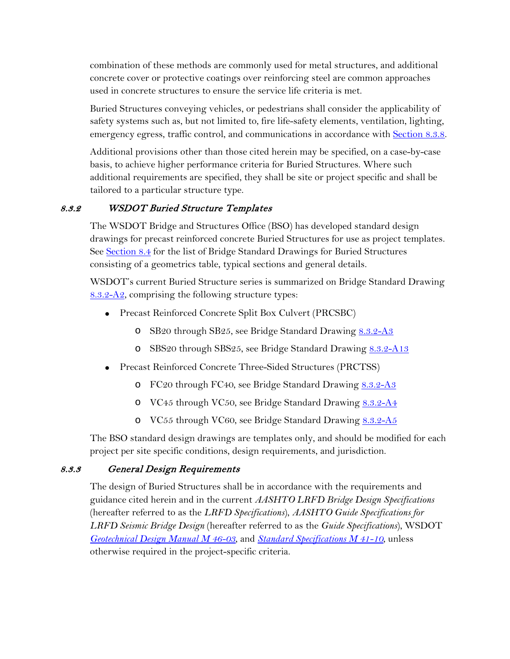combination of these methods are commonly used for metal structures, and additional concrete cover or protective coatings over reinforcing steel are common approaches used in concrete structures to ensure the service life criteria is met.

Buried Structures conveying vehicles, or pedestrians shall consider the applicability of safety systems such as, but not limited to, fire life-safety elements, ventilation, lighting, emergency egress, traffic control, and communications in accordance with Section 8.3.8.

 Additional provisions other than those cited herein may be specified, on a case-by-case basis, to achieve higher performance criteria for Buried Structures. Where such additional requirements are specified, they shall be site or project specific and shall be tailored to a particular structure type.

# 8.3.2 WSDOT Buried Structure Templates

consisting of a geometrics table, typical sections and general details. The WSDOT Bridge and Structures Office (BSO) has developed standard design drawings for precast reinforced concrete Buried Structures for use as project templates. See Section 8.4 for the list of Bridge Standard Drawings for Buried Structures

[8.3.2-A2,](https://www.wsdot.wa.gov/Bridge/Structures/StandardDrawings.htm#BuriedStructures) comprising the following structure types: WSDOT's current Buried Structure series is summarized on Bridge Standard Drawing

- Precast Reinforced Concrete Split Box Culvert (PRCSBC)
	- o SB20 through SB25, see Bridge Standard Drawing 8.3.2-A3
	- o SBS20 through SBS25, see Bridge Standard Drawing 8.3.2-A13
- Precast Reinforced Concrete Three-Sided Structures (PRCTSS)
	- o FC20 through FC40, see Bridge Standard Drawing 8.3.2-A3
	- o VC45 through VC50, see Bridge Standard Drawing [8.3.2-A4](https://www.wsdot.wa.gov/Bridge/Structures/StandardDrawings.htm#BuriedStructures)
	- o VC55 through VC60, see Bridge Standard Drawing 8.3.2-A5

 project per site specific conditions, design requirements, and jurisdiction. The BSO standard design drawings are templates only, and should be modified for each

# 8.3.3 General Design Requirements

The design of Buried Structures shall be in accordance with the requirements and guidance cited herein and in the current *AASHTO LRFD Bridge Design Specifications*  (hereafter referred to as the *LRFD Specifications*), *AASHTO Guide Specifications for LRFD Seismic Bridge Design* (hereafter referred to as the *Guide Specifications*), WSDOT *[Geotechnical Design Manual M 46-03](http://www.wsdot.wa.gov/Publications/Manuals/M46-03.htm)*, and *[Standard Specifications M 41-10](https://www.wsdot.wa.gov/Publications/Manuals/M41-10.htm)*, unless otherwise required in the project-specific criteria.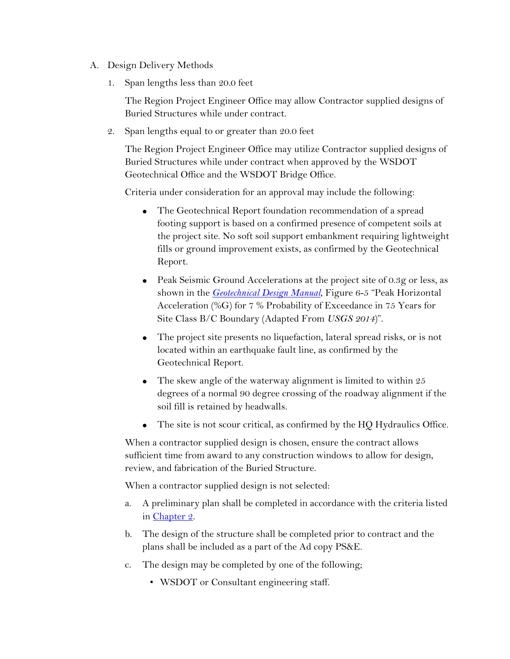- A. Design Delivery Methods
	- 1. Span lengths less than 20.0 feet

The Region Project Engineer Office may allow Contractor supplied designs of Buried Structures while under contract.

2. Span lengths equal to or greater than 20.0 feet

The Region Project Engineer Office may utilize Contractor supplied designs of Buried Structures while under contract when approved by the WSDOT Geotechnical Office and the WSDOT Bridge Office.

Criteria under consideration for an approval may include the following:

- The Geotechnical Report foundation recommendation of a spread footing support is based on a confirmed presence of competent soils at the project site. No soft soil support embankment requiring lightweight fills or ground improvement exists, as confirmed by the Geotechnical Report.
- Peak Seismic Ground Accelerations at the project site of 0.3g or less, as shown in the *[Geotechnical Design Manual](http://www.wsdot.wa.gov/Publications/Manuals/M46-03.htm)*, Figure 6-5 "Peak Horizontal Acceleration (%G) for 7 % Probability of Exceedance in 75 Years for Site Class B/C Boundary (Adapted From *USGS 2014*)".
- The project site presents no liquefaction, lateral spread risks, or is not located within an earthquake fault line, as confirmed by the Geotechnical Report.
- soil fill is retained by headwalls. • The skew angle of the waterway alignment is limited to within  $25$ degrees of a normal 90 degree crossing of the roadway alignment if the
- The site is not scour critical, as confirmed by the HQ Hydraulics Office.

review, and fabrication of the Buried Structure. When a contractor supplied design is chosen, ensure the contract allows sufficient time from award to any construction windows to allow for design,

When a contractor supplied design is not selected:

- a. A preliminary plan shall be completed in accordance with the criteria listed in Chapter 2.
- b. The design of the structure shall be completed prior to contract and the plans shall be included as a part of the Ad copy PS&E.
- c. The design may be completed by one of the following;
	- WSDOT or Consultant engineering staff.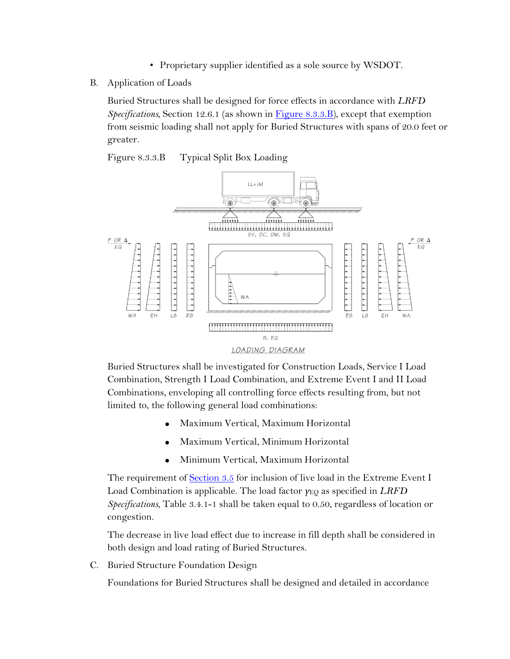- Proprietary supplier identified as a sole source by WSDOT.
- B. Application of Loads

Buried Structures shall be designed for force effects in accordance with *LRFD Specifications*, Section 12.6.1 (as shown in Figure 8.3.3.B), except that exemption from seismic loading shall not apply for Buried Structures with spans of 20.0 feet or greater.

Figure 8.3.3.B Typical Split Box Loading



 Combination, Strength I Load Combination, and Extreme Event I and II Load Buried Structures shall be investigated for Construction Loads, Service I Load Combinations, enveloping all controlling force effects resulting from, but not limited to, the following general load combinations:

- Maximum Vertical, Maximum Horizontal
- Maximum Vertical, Minimum Horizontal
- Minimum Vertical, Maximum Horizontal

The requirement of Section 3.5 for inclusion of live load in the Extreme Event I Load Combination is applicable. The load factor *γ*EQ as specified in *LRFD Specifications*, Table 3.4.1-1 shall be taken equal to 0.50, regardless of location or congestion.

both design and load rating of Buried Structures.<br>C. Buried Structure Foundation Design The decrease in live load effect due to increase in fill depth shall be considered in

Foundations for Buried Structures shall be designed and detailed in accordance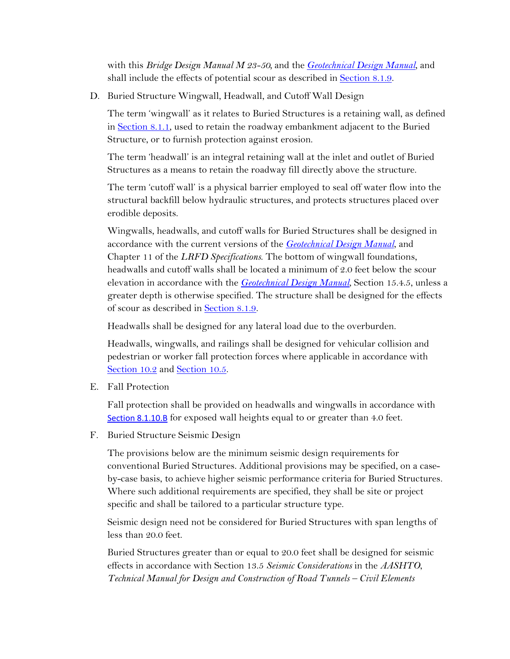with this *Bridge Design Manual M 23-50,* and the *[Geotechnical Design Manual](http://www.wsdot.wa.gov/Publications/Manuals/M46-03.htm)*, and shall include the effects of potential scour as described in Section 8.1.9.

D. Buried Structure Wingwall, Headwall, and Cutoff Wall Design

The term 'wingwall' as it relates to Buried Structures is a retaining wall, as defined in Section 8.1.1, used to retain the roadway embankment adjacent to the Buried Structure, or to furnish protection against erosion.

The term 'headwall' is an integral retaining wall at the inlet and outlet of Buried Structures as a means to retain the roadway fill directly above the structure.

 structural backfill below hydraulic structures, and protects structures placed over erodible deposits. The term 'cutoff wall' is a physical barrier employed to seal off water flow into the

 Chapter 11 of the *LRFD Specifications*. The bottom of wingwall foundations, Wingwalls, headwalls, and cutoff walls for Buried Structures shall be designed in accordance with the current versions of the *[Geotechnical Design Manual](http://www.wsdot.wa.gov/Publications/Manuals/M46-03.htm)*, and headwalls and cutoff walls shall be located a minimum of 2.0 feet below the scour elevation in accordance with the *[Geotechnical Design Manual](http://www.wsdot.wa.gov/Publications/Manuals/M46-03.htm)*, Section 15.4.5, unless a greater depth is otherwise specified. The structure shall be designed for the effects of scour as described in Section 8.1.9.

Headwalls shall be designed for any lateral load due to the overburden.

 pedestrian or worker fall protection forces where applicable in accordance with Headwalls, wingwalls, and railings shall be designed for vehicular collision and Section 10.2 and Section 10.5.

E. Fall Protection

Fall protection shall be provided on headwalls and wingwalls in accordance with Section 8.1.10.B for exposed wall heights equal to or greater than 4.0 feet.

F. Buried Structure Seismic Design

The provisions below are the minimum seismic design requirements for conventional Buried Structures. Additional provisions may be specified, on a caseby-case basis, to achieve higher seismic performance criteria for Buried Structures. Where such additional requirements are specified, they shall be site or project specific and shall be tailored to a particular structure type.

 less than 20.0 feet. Seismic design need not be considered for Buried Structures with span lengths of

 Buried Structures greater than or equal to 20.0 feet shall be designed for seismic effects in accordance with Section 13.5 *Seismic Considerations* in the *AASHTO*, *Technical Manual for Design and Construction of Road Tunnels – Civil Elements*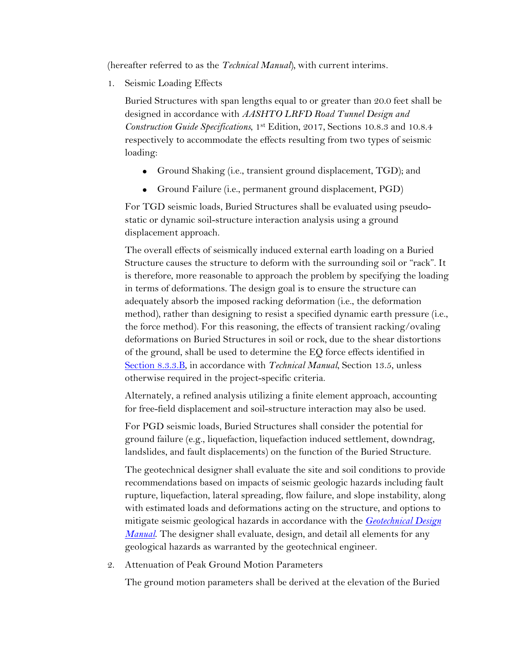(hereafter referred to as the *Technical Manual*)*,* with current interims*.* 

1. Seismic Loading Effects

Buried Structures with span lengths equal to or greater than 20.0 feet shall be designed in accordance with *AASHTO LRFD Road Tunnel Design and Construction Guide Specifications*, 1st Edition, 2017, Sections 10.8.3 and 10.8.4 respectively to accommodate the effects resulting from two types of seismic loading:

- Ground Shaking (i.e., transient ground displacement, TGD); and
- Ground Failure (i.e., permanent ground displacement, PGD)

For TGD seismic loads, Buried Structures shall be evaluated using pseudostatic or dynamic soil-structure interaction analysis using a ground displacement approach. The overall effects of seismically induced external earth loading on a Buried

 deformations on Buried Structures in soil or rock, due to the shear distortions Structure causes the structure to deform with the surrounding soil or "rack". It is therefore, more reasonable to approach the problem by specifying the loading in terms of deformations. The design goal is to ensure the structure can adequately absorb the imposed racking deformation (i.e., the deformation method), rather than designing to resist a specified dynamic earth pressure (i.e., the force method). For this reasoning, the effects of transient racking/ovaling of the ground, shall be used to determine the EQ force effects identified in Section 8.3.3.B, in accordance with *Technical Manual*, Section 13.5, unless otherwise required in the project-specific criteria.

Alternately, a refined analysis utilizing a finite element approach, accounting for free-field displacement and soil-structure interaction may also be used.

For PGD seismic loads, Buried Structures shall consider the potential for ground failure (e.g., liquefaction, liquefaction induced settlement, downdrag, landslides, and fault displacements) on the function of the Buried Structure.

The geotechnical designer shall evaluate the site and soil conditions to provide recommendations based on impacts of seismic geologic hazards including fault rupture, liquefaction, lateral spreading, flow failure, and slope instability, along with estimated loads and deformations acting on the structure, and options to mitigate seismic geological hazards in accordance with the *[Geotechnical Design](http://www.wsdot.wa.gov/Publications/Manuals/M46-03.htm)  [Manual](http://www.wsdot.wa.gov/Publications/Manuals/M46-03.htm)*. The designer shall evaluate, design, and detail all elements for any geological hazards as warranted by the geotechnical engineer.

2. Attenuation of Peak Ground Motion Parameters

The ground motion parameters shall be derived at the elevation of the Buried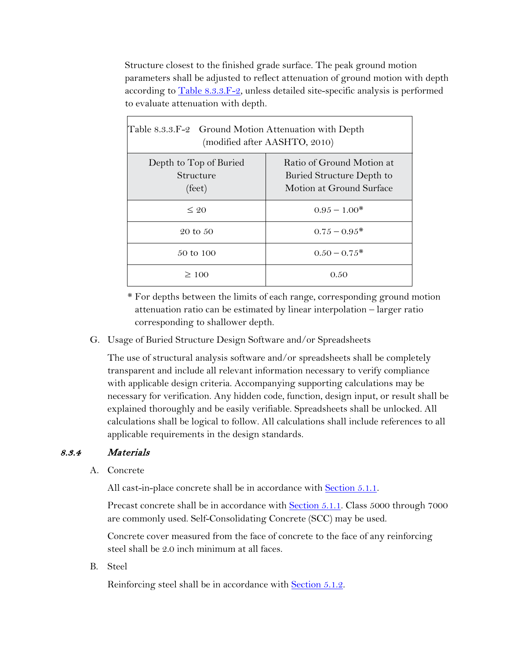to evaluate attenuation with depth. Structure closest to the finished grade surface. The peak ground motion parameters shall be adjusted to reflect attenuation of ground motion with depth according to  $Table 8.3.3.F-2$ , unless detailed site-specific analysis is performed

| Table 8.3.3.F-2 Ground Motion Attenuation with Depth<br>(modified after AASHTO, 2010) |                                                                                    |  |  |
|---------------------------------------------------------------------------------------|------------------------------------------------------------------------------------|--|--|
| Depth to Top of Buried<br>Structure<br>$(\text{feet})$                                | Ratio of Ground Motion at<br>Buried Structure Depth to<br>Motion at Ground Surface |  |  |
| $\leq 20$                                                                             | $0.95 - 1.00*$                                                                     |  |  |
| 20 to 50                                                                              | $0.75 - 0.95^*$                                                                    |  |  |
| 50 to 100                                                                             | $0.50 - 0.75*$                                                                     |  |  |
| $\geq 100$                                                                            | 0.50                                                                               |  |  |

 attenuation ratio can be estimated by linear interpolation – larger ratio \* For depths between the limits of each range, corresponding ground motion corresponding to shallower depth.

G. Usage of Buried Structure Design Software and/or Spreadsheets

The use of structural analysis software and/or spreadsheets shall be completely transparent and include all relevant information necessary to verify compliance with applicable design criteria. Accompanying supporting calculations may be necessary for verification. Any hidden code, function, design input, or result shall be explained thoroughly and be easily verifiable. Spreadsheets shall be unlocked. All calculations shall be logical to follow. All calculations shall include references to all applicable requirements in the design standards.

# 8.3.4 Materials

A. Concrete

All cast-in-place concrete shall be in accordance with **Section 5.1.1**.

Precast concrete shall be in accordance with Section 5.1.1. Class 5000 through 7000

are commonly used. Self-Consolidating Concrete (SCC) may be used. Concrete cover measured from the face of concrete to the face of any reinforcing steel shall be 2.0 inch minimum at all faces.

B. Steel

Reinforcing steel shall be in accordance with Section 5.1.2.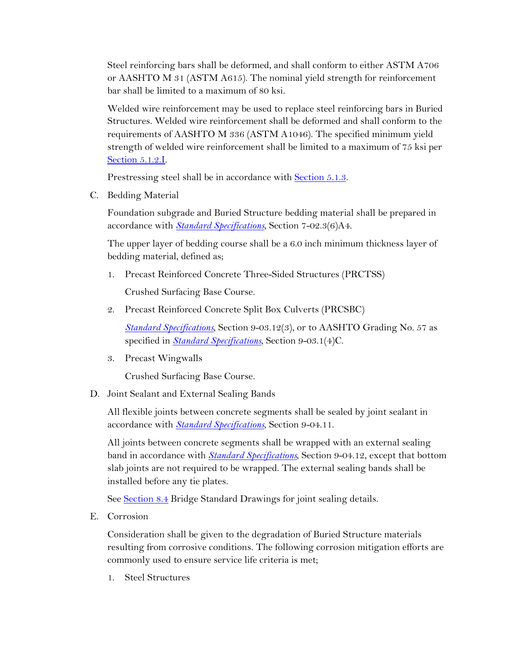bar shall be limited to a maximum of 80 ksi. Steel reinforcing bars shall be deformed, and shall conform to either ASTM A706 or AASHTO M 31 (ASTM A615). The nominal yield strength for reinforcement

Welded wire reinforcement may be used to replace steel reinforcing bars in Buried Structures. Welded wire reinforcement shall be deformed and shall conform to the requirements of AASHTO M 336 (ASTM A1046). The specified minimum yield strength of welded wire reinforcement shall be limited to a maximum of 75 ksi per Section 5.1.2.I.

Prestressing steel shall be in accordance with Section 5.1.3.

C. Bedding Material

Foundation subgrade and Buried Structure bedding material shall be prepared in accordance with *[Standard Specifications](https://www.wsdot.wa.gov/Publications/Manuals/M41-10.htm)*, Section 7-02.3(6)A4.

The upper layer of bedding course shall be a 6.0 inch minimum thickness layer of bedding material, defined as;

1. Precast Reinforced Concrete Three-Sided Structures (PRCTSS)

Crushed Surfacing Base Course.

2. Precast Reinforced Concrete Split Box Culverts (PRCSBC)

 *[Standard Specifications](https://www.wsdot.wa.gov/Publications/Manuals/M41-10.htm)*, Section 9-03.12(3), or to AASHTO Grading No. 57 as specified in *[Standard Specifications](https://www.wsdot.wa.gov/Publications/Manuals/M41-10.htm)*, Section 9-03.1(4)C.

3. Precast Wingwalls

Crushed Surfacing Base Course.

D. Joint Sealant and External Sealing Bands

All flexible joints between concrete segments shall be sealed by joint sealant in accordance with *[Standard Specifications](https://www.wsdot.wa.gov/Publications/Manuals/M41-10.htm)*, Section 9-04.11.

 slab joints are not required to be wrapped. The external sealing bands shall be All joints between concrete segments shall be wrapped with an external sealing band in accordance with *[Standard Specifications](https://www.wsdot.wa.gov/Publications/Manuals/M41-10.htm)*, Section 9-04.12, except that bottom installed before any tie plates.

See Section 8.4 Bridge Standard Drawings for joint sealing details.

E. Corrosion

 resulting from corrosive conditions. The following corrosion mitigation efforts are Consideration shall be given to the degradation of Buried Structure materials commonly used to ensure service life criteria is met;

1. Steel Structures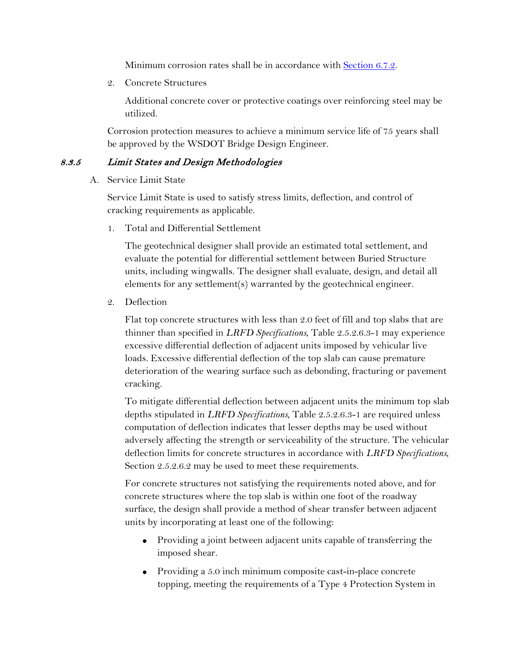Minimum corrosion rates shall be in accordance with **Section 6.7.2.** 

2. Concrete Structures

 Additional concrete cover or protective coatings over reinforcing steel may be utilized.

Corrosion protection measures to achieve a minimum service life of 75 years shall be approved by the WSDOT Bridge Design Engineer.

# 8.3.5 Limit States and Design Methodologies

A. Service Limit State

 Service Limit State is used to satisfy stress limits, deflection, and control of cracking requirements as applicable.

1. Total and Differential Settlement

The geotechnical designer shall provide an estimated total settlement, and evaluate the potential for differential settlement between Buried Structure units, including wingwalls. The designer shall evaluate, design, and detail all elements for any settlement(s) warranted by the geotechnical engineer.

2. Deflection

cracking. Flat top concrete structures with less than 2.0 feet of fill and top slabs that are thinner than specified in *LRFD Specifications*, Table 2.5.2.6.3-1 may experience excessive differential deflection of adjacent units imposed by vehicular live loads. Excessive differential deflection of the top slab can cause premature deterioration of the wearing surface such as debonding, fracturing or pavement

To mitigate differential deflection between adjacent units the minimum top slab depths stipulated in *LRFD Specifications*, Table 2.5.2.6.3-1 are required unless computation of deflection indicates that lesser depths may be used without adversely affecting the strength or serviceability of the structure. The vehicular deflection limits for concrete structures in accordance with *LRFD Specifications*, Section 2.5.2.6.2 may be used to meet these requirements.

For concrete structures not satisfying the requirements noted above, and for concrete structures where the top slab is within one foot of the roadway surface, the design shall provide a method of shear transfer between adjacent units by incorporating at least one of the following:

- Providing a joint between adjacent units capable of transferring the imposed shear.
- Providing a 5.0 inch minimum composite cast-in-place concrete topping, meeting the requirements of a Type 4 Protection System in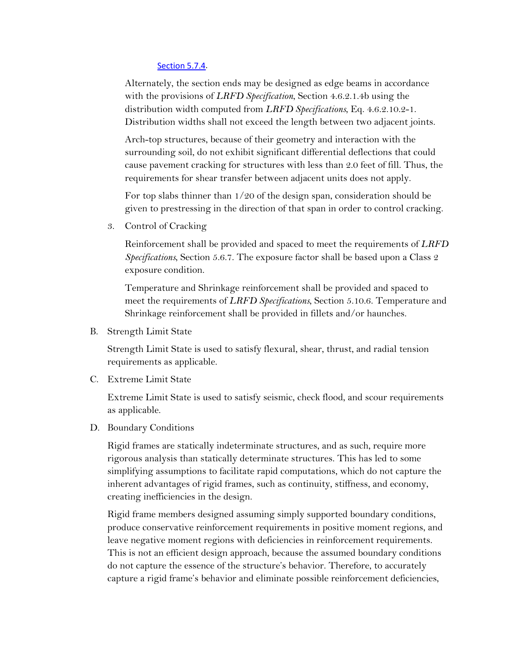#### Section 5.7.4.

Alternately, the section ends may be designed as edge beams in accordance with the provisions of *LRFD Specification*, Section 4.6.2.1.4b using the distribution width computed from *LRFD Specifications*, Eq. 4.6.2.10.2-1. Distribution widths shall not exceed the length between two adjacent joints.

Arch-top structures, because of their geometry and interaction with the surrounding soil, do not exhibit significant differential deflections that could cause pavement cracking for structures with less than 2.0 feet of fill. Thus, the requirements for shear transfer between adjacent units does not apply.

 given to prestressing in the direction of that span in order to control cracking. 3. Control of Cracking For top slabs thinner than 1/20 of the design span, consideration should be

Reinforcement shall be provided and spaced to meet the requirements of *LRFD Specifications*, Section 5.6.7. The exposure factor shall be based upon a Class 2 exposure condition.

Temperature and Shrinkage reinforcement shall be provided and spaced to meet the requirements of *LRFD Specifications*, Section 5.10.6. Temperature and Shrinkage reinforcement shall be provided in fillets and/or haunches.

B. Strength Limit State

Strength Limit State is used to satisfy flexural, shear, thrust, and radial tension requirements as applicable.

C. Extreme Limit State

Extreme Limit State is used to satisfy seismic, check flood, and scour requirements as applicable.

D. Boundary Conditions

 Rigid frames are statically indeterminate structures, and as such, require more rigorous analysis than statically determinate structures. This has led to some simplifying assumptions to facilitate rapid computations, which do not capture the inherent advantages of rigid frames, such as continuity, stiffness, and economy, creating inefficiencies in the design.

Rigid frame members designed assuming simply supported boundary conditions, produce conservative reinforcement requirements in positive moment regions, and leave negative moment regions with deficiencies in reinforcement requirements. This is not an efficient design approach, because the assumed boundary conditions do not capture the essence of the structure's behavior. Therefore, to accurately capture a rigid frame's behavior and eliminate possible reinforcement deficiencies,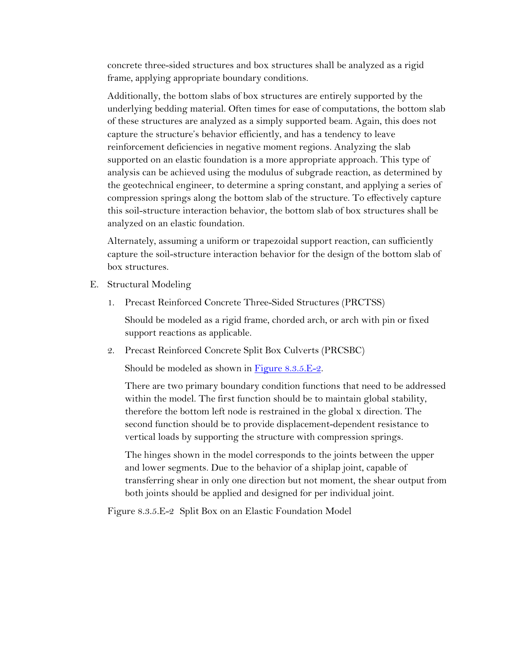frame, applying appropriate boundary conditions. concrete three-sided structures and box structures shall be analyzed as a rigid

 of these structures are analyzed as a simply supported beam. Again, this does not this soil-structure interaction behavior, the bottom slab of box structures shall be Additionally, the bottom slabs of box structures are entirely supported by the underlying bedding material. Often times for ease of computations, the bottom slab capture the structure's behavior efficiently, and has a tendency to leave reinforcement deficiencies in negative moment regions. Analyzing the slab supported on an elastic foundation is a more appropriate approach. This type of analysis can be achieved using the modulus of subgrade reaction, as determined by the geotechnical engineer, to determine a spring constant, and applying a series of compression springs along the bottom slab of the structure. To effectively capture analyzed on an elastic foundation.

Alternately, assuming a uniform or trapezoidal support reaction, can sufficiently capture the soil-structure interaction behavior for the design of the bottom slab of box structures.

- E. Structural Modeling
	- 1. Precast Reinforced Concrete Three-Sided Structures (PRCTSS)

support reactions as applicable. Should be modeled as a rigid frame, chorded arch, or arch with pin or fixed

2. Precast Reinforced Concrete Split Box Culverts (PRCSBC)

Should be modeled as shown in Figure 8.3.5.E-2.

 vertical loads by supporting the structure with compression springs. There are two primary boundary condition functions that need to be addressed within the model. The first function should be to maintain global stability, therefore the bottom left node is restrained in the global x direction. The second function should be to provide displacement-dependent resistance to

The hinges shown in the model corresponds to the joints between the upper and lower segments. Due to the behavior of a shiplap joint, capable of transferring shear in only one direction but not moment, the shear output from both joints should be applied and designed for per individual joint.

Figure 8.3.5.E-2 Split Box on an Elastic Foundation Model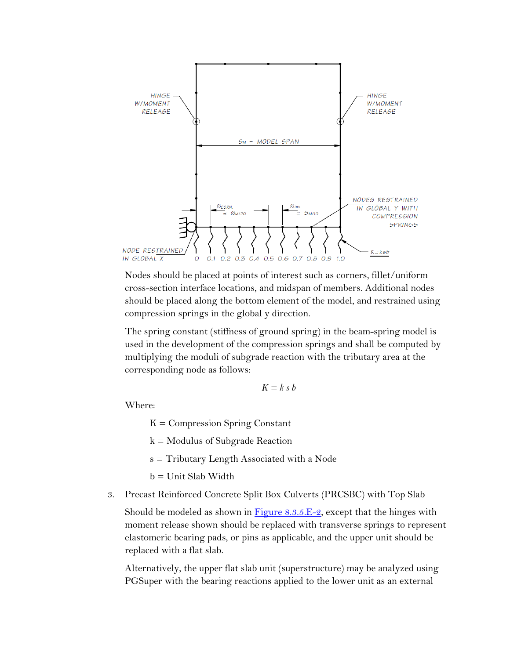

compression springs in the global y direction. Nodes should be placed at points of interest such as corners, fillet/uniform cross-section interface locations, and midspan of members. Additional nodes should be placed along the bottom element of the model, and restrained using

The spring constant (stiffness of ground spring) in the beam-spring model is used in the development of the compression springs and shall be computed by multiplying the moduli of subgrade reaction with the tributary area at the corresponding node as follows:

$$
K = k \, s \, b
$$

Where:

 $K =$  Compression Spring Constant

k = Modulus of Subgrade Reaction

s = Tributary Length Associated with a Node

b = Unit Slab Width

3. Precast Reinforced Concrete Split Box Culverts (PRCSBC) with Top Slab

 elastomeric bearing pads, or pins as applicable, and the upper unit should be Should be modeled as shown in Figure  $8.3.5.E-2$ , except that the hinges with moment release shown should be replaced with transverse springs to represent replaced with a flat slab.

Alternatively, the upper flat slab unit (superstructure) may be analyzed using PGSuper with the bearing reactions applied to the lower unit as an external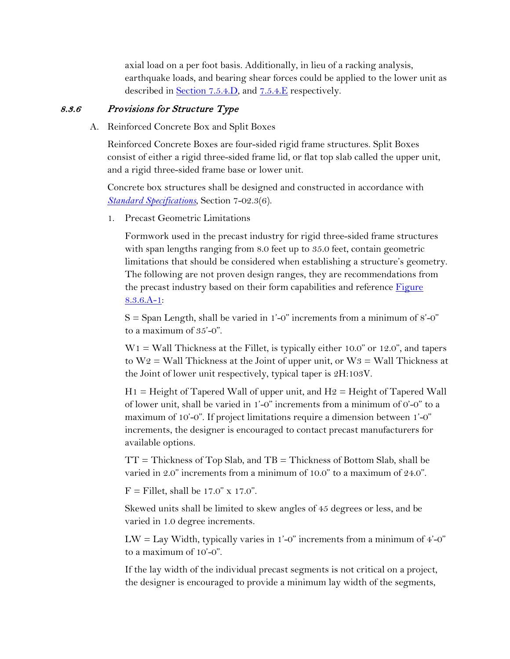earthquake loads, and bearing shear forces could be applied to the lower unit as axial load on a per foot basis. Additionally, in lieu of a racking analysis, described in Section 7.5.4.D, and 7.5.4.E respectively.

# 8.3.6 Provisions for Structure Type

A. Reinforced Concrete Box and Split Boxes

and a rigid three-sided frame base or lower unit. Reinforced Concrete Boxes are four-sided rigid frame structures. Split Boxes consist of either a rigid three-sided frame lid, or flat top slab called the upper unit,

Concrete box structures shall be designed and constructed in accordance with *[Standard Specifications](https://www.wsdot.wa.gov/Publications/Manuals/M41-10.htm)*, Section 7-02.3(6).

1. Precast Geometric Limitations

Formwork used in the precast industry for rigid three-sided frame structures with span lengths ranging from 8.0 feet up to 35.0 feet, contain geometric limitations that should be considered when establishing a structure's geometry. The following are not proven design ranges, they are recommendations from the precast industry based on their form capabilities and reference Figure 8.3.6.A-1:

 $S =$  Span Length, shall be varied in 1'-0" increments from a minimum of 8'-0" to a maximum of 35'-0".

 $W1 =$  Wall Thickness at the Fillet, is typically either 10.0" or 12.0", and tapers to  $W2 =$  Wall Thickness at the Joint of upper unit, or  $W3 =$  Wall Thickness at the Joint of lower unit respectively, typical taper is 2H:103V.

 $H1 =$  Height of Tapered Wall of upper unit, and  $H2 =$  Height of Tapered Wall of lower unit, shall be varied in 1'-0" increments from a minimum of 0'-0" to a maximum of 10'-0". If project limitations require a dimension between 1'-0" increments, the designer is encouraged to contact precast manufacturers for available options.

 $TT = Thichness$  of Top Slab, and  $TB = Thichness$  of Bottom Slab, shall be varied in 2.0" increments from a minimum of 10.0" to a maximum of 24.0".

 $F =$  Fillet, shall be 17.0" x 17.0".

varied in 1.0 degree increments. Skewed units shall be limited to skew angles of 45 degrees or less, and be

LW = Lay Width, typically varies in 1'-0" increments from a minimum of  $4'$ -0" to a maximum of 10'-0".

If the lay width of the individual precast segments is not critical on a project, the designer is encouraged to provide a minimum lay width of the segments,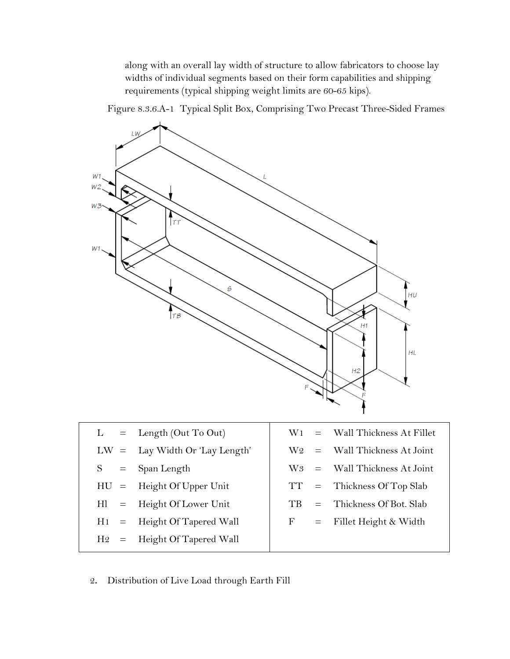requirements (typical shipping weight limits are 60-65 kips). along with an overall lay width of structure to allow fabricators to choose lay widths of individual segments based on their form capabilities and shipping

Figure 8.3.6.A-1 Typical Split Box, Comprising Two Precast Three-Sided Frames



2**.** Distribution of Live Load through Earth Fill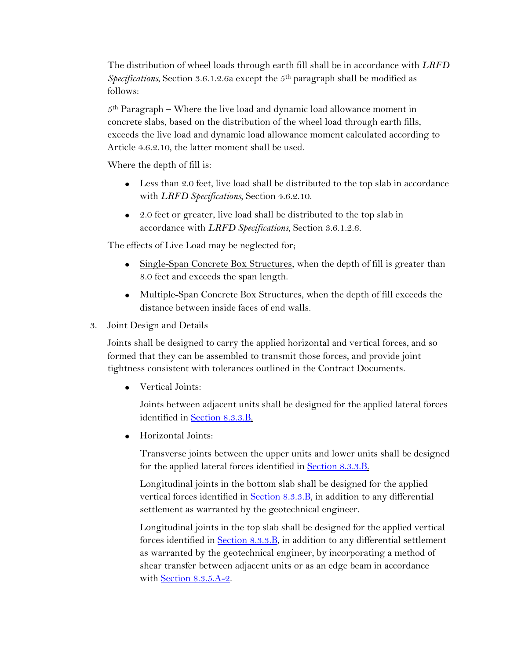The distribution of wheel loads through earth fill shall be in accordance with *LRFD Specifications*, Section 3.6.1.2.6a except the 5th paragraph shall be modified as follows:

5th Paragraph – Where the live load and dynamic load allowance moment in concrete slabs, based on the distribution of the wheel load through earth fills, exceeds the live load and dynamic load allowance moment calculated according to Article 4.6.2.10, the latter moment shall be used.

Where the depth of fill is:

- with *LRFD Specifications*, Section 4.6.2.10. • Less than 2.0 feet, live load shall be distributed to the top slab in accordance
- 2.0 feet or greater, live load shall be distributed to the top slab in accordance with *LRFD Specifications*, Section 3.6.1.2.6.

The effects of Live Load may be neglected for;

- Single-Span Concrete Box Structures, when the depth of fill is greater than 8.0 feet and exceeds the span length.
- Multiple-Span Concrete Box Structures, when the depth of fill exceeds the distance between inside faces of end walls.
- 3. Joint Design and Details

Joints shall be designed to carry the applied horizontal and vertical forces, and so formed that they can be assembled to transmit those forces, and provide joint tightness consistent with tolerances outlined in the Contract Documents.

• Vertical Joints:

Joints between adjacent units shall be designed for the applied lateral forces identified in Section 8.3.3.B.

• Horizontal Joints:

Transverse joints between the upper units and lower units shall be designed for the applied lateral forces identified in **Section 8.3.3.B.** 

Longitudinal joints in the bottom slab shall be designed for the applied vertical forces identified in **Section 8.3.3.B**, in addition to any differential settlement as warranted by the geotechnical engineer.

Longitudinal joints in the top slab shall be designed for the applied vertical forces identified in **Section 8.3.3.B**, in addition to any differential settlement as warranted by the geotechnical engineer, by incorporating a method of shear transfer between adjacent units or as an edge beam in accordance with Section 8.3.5.A-2.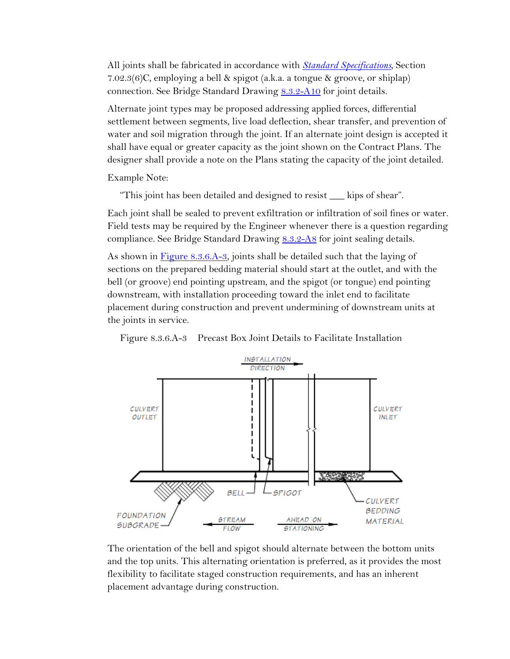7.02.3(6)C, employing a bell & spigot (a.k.a. a tongue & groove, or shiplap) connection. See Bridge Standard Drawing [8.3.2-A10](https://www.wsdot.wa.gov/Bridge/Structures/StandardDrawings.htm#BuriedStructures) for joint details. All joints shall be fabricated in accordance with *[Standard Specifications](https://www.wsdot.wa.gov/Publications/Manuals/M41-10.htm)*, Section

 designer shall provide a note on the Plans stating the capacity of the joint detailed. Example Note: Alternate joint types may be proposed addressing applied forces, differential settlement between segments, live load deflection, shear transfer, and prevention of water and soil migration through the joint. If an alternate joint design is accepted it shall have equal or greater capacity as the joint shown on the Contract Plans. The

"This joint has been detailed and designed to resist \_\_\_ kips of shear".

compliance. See Bridge Standard Drawing [8.3.2-A8](https://www.wsdot.wa.gov/Bridge/Structures/StandardDrawings.htm#BuriedStructures) for joint sealing details. Each joint shall be sealed to prevent exfiltration or infiltration of soil fines or water. Field tests may be required by the Engineer whenever there is a question regarding

 sections on the prepared bedding material should start at the outlet, and with the As shown in Figure 8.3.6.A-3, joints shall be detailed such that the laying of bell (or groove) end pointing upstream, and the spigot (or tongue) end pointing downstream, with installation proceeding toward the inlet end to facilitate placement during construction and prevent undermining of downstream units at the joints in service.

Figure 8.3.6.A-3 Precast Box Joint Details to Facilitate Installation



 The orientation of the bell and spigot should alternate between the bottom units and the top units. This alternating orientation is preferred, as it provides the most flexibility to facilitate staged construction requirements, and has an inherent placement advantage during construction.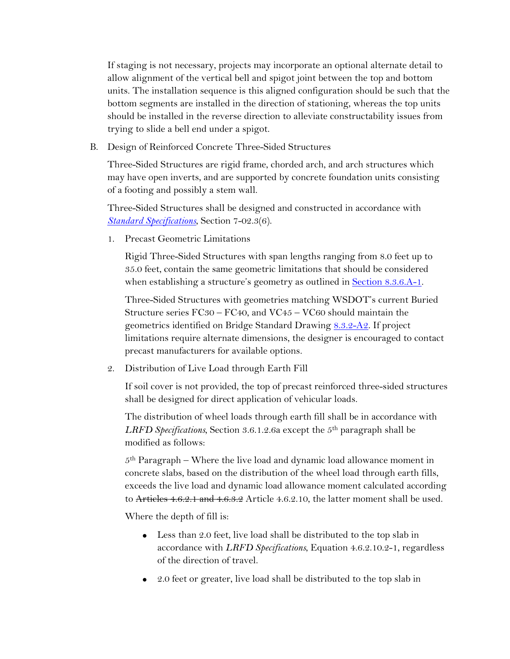trying to slide a bell end under a spigot. If staging is not necessary, projects may incorporate an optional alternate detail to allow alignment of the vertical bell and spigot joint between the top and bottom units. The installation sequence is this aligned configuration should be such that the bottom segments are installed in the direction of stationing, whereas the top units should be installed in the reverse direction to alleviate constructability issues from

B. Design of Reinforced Concrete Three-Sided Structures

Three-Sided Structures are rigid frame, chorded arch, and arch structures which may have open inverts, and are supported by concrete foundation units consisting of a footing and possibly a stem wall.

Three-Sided Structures shall be designed and constructed in accordance with *[Standard Specifications](https://www.wsdot.wa.gov/Publications/Manuals/M41-10.htm)*, Section 7-02.3(6).

1. Precast Geometric Limitations

when establishing a structure's geometry as outlined in **Section 8.3.6.A-1**. Rigid Three-Sided Structures with span lengths ranging from 8.0 feet up to 35.0 feet, contain the same geometric limitations that should be considered

 Structure series FC30 – FC40, and VC45 – VC60 should maintain the Three-Sided Structures with geometries matching WSDOT's current Buried geometrics identified on Bridge Standard Drawing 8.3.2-A2. If project limitations require alternate dimensions, the designer is encouraged to contact precast manufacturers for available options.

2. Distribution of Live Load through Earth Fill

If soil cover is not provided, the top of precast reinforced three-sided structures shall be designed for direct application of vehicular loads.

 *LRFD Specifications*, Section 3.6.1.2.6a except the 5th paragraph shall be The distribution of wheel loads through earth fill shall be in accordance with modified as follows:

5th Paragraph – Where the live load and dynamic load allowance moment in concrete slabs, based on the distribution of the wheel load through earth fills, exceeds the live load and dynamic load allowance moment calculated according to Articles 4.6.2.1 and 4.6.3.2 Article 4.6.2.10, the latter moment shall be used.

Where the depth of fill is:

- of the direction of travel. • Less than 2.0 feet, live load shall be distributed to the top slab in accordance with *LRFD Specifications*, Equation 4.6.2.10.2-1, regardless
- 2.0 feet or greater, live load shall be distributed to the top slab in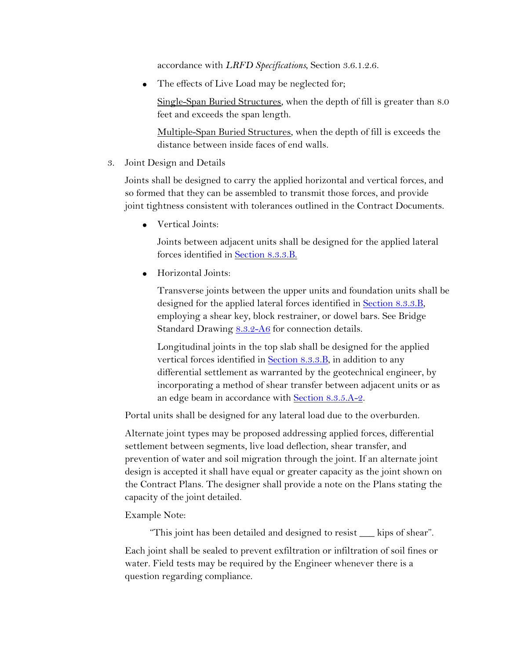accordance with *LRFD Specifications*, Section 3.6.1.2.6.

• The effects of Live Load may be neglected for;

Single-Span Buried Structures, when the depth of fill is greater than 8.0 feet and exceeds the span length.

Multiple-Span Buried Structures, when the depth of fill is exceeds the distance between inside faces of end walls.

3. Joint Design and Details

Joints shall be designed to carry the applied horizontal and vertical forces, and so formed that they can be assembled to transmit those forces, and provide joint tightness consistent with tolerances outlined in the Contract Documents.

• Vertical Joints:

Joints between adjacent units shall be designed for the applied lateral forces identified in Section 8.3.3.B.

• Horizontal Joints:

designed for the applied lateral forces identified in **Section 8.3.3.B**, Transverse joints between the upper units and foundation units shall be employing a shear key, block restrainer, or dowel bars. See Bridge Standard Drawing [8.3.2-A6](https://www.wsdot.wa.gov/Bridge/Structures/StandardDrawings.htm#BuriedStructures) for connection details.

Longitudinal joints in the top slab shall be designed for the applied vertical forces identified in **Section 8.3.3.B**, in addition to any differential settlement as warranted by the geotechnical engineer, by incorporating a method of shear transfer between adjacent units or as an edge beam in accordance with Section 8.3.5.A-2.

Portal units shall be designed for any lateral load due to the overburden.

 settlement between segments, live load deflection, shear transfer, and the Contract Plans. The designer shall provide a note on the Plans stating the capacity of the joint detailed. Example Note: Alternate joint types may be proposed addressing applied forces, differential prevention of water and soil migration through the joint. If an alternate joint design is accepted it shall have equal or greater capacity as the joint shown on

 water. Field tests may be required by the Engineer whenever there is a "This joint has been detailed and designed to resist \_\_\_ kips of shear". Each joint shall be sealed to prevent exfiltration or infiltration of soil fines or question regarding compliance.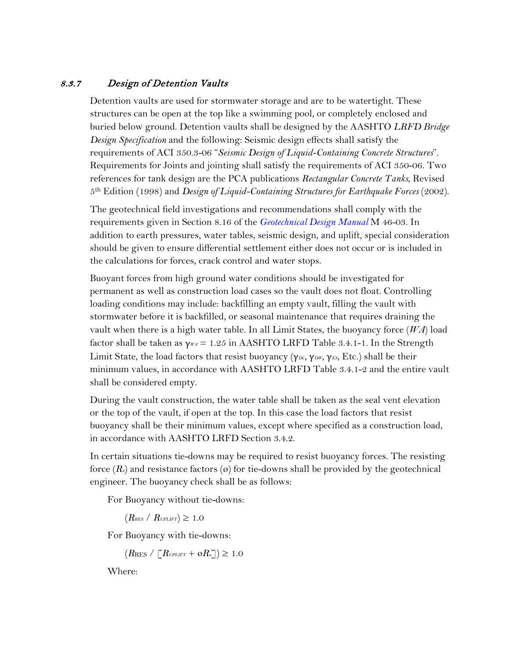# 8.3.7 Design of Detention Vaults

 structures can be open at the top like a swimming pool, or completely enclosed and Requirements for Joints and jointing shall satisfy the requirements of ACI 350-06. Two 5th Edition (1998) and *Design of Liquid-Containing Structures for Earthquake Forces* (2002). Detention vaults are used for stormwater storage and are to be watertight. These buried below ground. Detention vaults shall be designed by the AASHTO *LRFD Bridge Design Specification* and the following: Seismic design effects shall satisfy the requirements of ACI 350.3-06 "*Seismic Design of Liquid-Containing Concrete Structures*". references for tank design are the PCA publications *Rectangular Concrete Tanks*, Revised

 The geotechnical field investigations and recommendations shall comply with the requirements given in Section 8.16 of the *Geotechnical Design Manual* M 46-03. In the calculations for forces, crack control and water stops. addition to earth pressures, water tables, seismic design, and uplift, special consideration should be given to ensure differential settlement either does not occur or is included in

 shall be considered empty. Buoyant forces from high ground water conditions should be investigated for permanent as well as construction load cases so the vault does not float. Controlling loading conditions may include: backfilling an empty vault, filling the vault with stormwater before it is backfilled, or seasonal maintenance that requires draining the vault when there is a high water table. In all Limit States, the buoyancy force (*WA*) load factor shall be taken as  $\gamma_{WA} = 1.25$  in AASHTO LRFD Table 3.4.1-1. In the Strength Limit State, the load factors that resist buoyancy (γ<sub>DC</sub>, γ<sub>DW</sub>, γ<sub>ES</sub>, Etc.) shall be their minimum values, in accordance with AASHTO LRFD Table 3.4.1-2 and the entire vault

During the vault construction, the water table shall be taken as the seal vent elevation or the top of the vault, if open at the top. In this case the load factors that resist buoyancy shall be their minimum values, except where specified as a construction load, in accordance with AASHTO LRFD Section 3.4.2. In certain situations tie-downs may be required to resist buoyancy forces. The resisting

 engineer. The buoyancy check shall be as follows: force  $(R_n)$  and resistance factors  $\varphi$  for tie-downs shall be provided by the geotechnical

For Buoyancy without tie-downs:

 $(R_{RES} / R_{UPLIFT}) \geq 1.0$ 

For Buoyancy with tie-downs:

 $(R_{RES}/[\textit{R}v_{\textit{PLIFT}}+\varnothing R_{\textit{n}}]) \geq 1.0$ 

Where: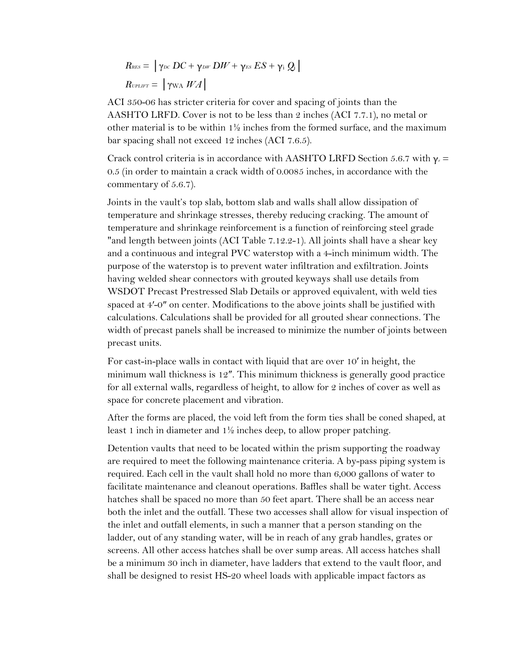$$
R_{\text{RES}} = |\gamma_{\text{DC}}\,DC + \gamma_{\text{DW}}\,DW + \gamma_{\text{ES}}\,ES + \gamma_{\text{i}}\,Q_{\text{i}}|
$$
  

$$
R_{\text{UPLIFT}} = |\gamma_{\text{WA}}\,WA|
$$

bar spacing shall not exceed 12 inches (ACI 7.6.5). ACI 350-06 has stricter criteria for cover and spacing of joints than the AASHTO LRFD. Cover is not to be less than 2 inches (ACI 7.7.1), no metal or other material is to be within  $1\frac{1}{2}$  inches from the formed surface, and the maximum

 bar spacing shall not exceed 12 inches (ACI 7.6.5). Crack control criteria is in accordance with AASHTO LRFD Section 5.6.7 with <sup>γ</sup>*e* <sup>=</sup> 0.5 (in order to maintain a crack width of 0.0085 inches, in accordance with the commentary of 5.6.7).

 temperature and shrinkage stresses, thereby reducing cracking. The amount of Joints in the vault's top slab, bottom slab and walls shall allow dissipation of temperature and shrinkage reinforcement is a function of reinforcing steel grade "and length between joints (ACI Table 7.12.2-1). All joints shall have a shear key and a continuous and integral PVC waterstop with a 4-inch minimum width. The purpose of the waterstop is to prevent water infiltration and exfiltration. Joints having welded shear connectors with grouted keyways shall use details from WSDOT Precast Prestressed Slab Details or approved equivalent, with weld ties spaced at 4'-0" on center. Modifications to the above joints shall be justified with calculations. Calculations shall be provided for all grouted shear connections. The width of precast panels shall be increased to minimize the number of joints between precast units.

 For cast-in-place walls in contact with liquid that are over 10′ in height, the for all external walls, regardless of height, to allow for 2 inches of cover as well as space for concrete placement and vibration. minimum wall thickness is 12″. This minimum thickness is generally good practice

After the forms are placed, the void left from the form ties shall be coned shaped, at least 1 inch in diameter and 1½ inches deep, to allow proper patching.

 are required to meet the following maintenance criteria. A by-pass piping system is hatches shall be spaced no more than 50 feet apart. There shall be an access near Detention vaults that need to be located within the prism supporting the roadway required. Each cell in the vault shall hold no more than 6,000 gallons of water to facilitate maintenance and cleanout operations. Baffles shall be water tight. Access both the inlet and the outfall. These two accesses shall allow for visual inspection of the inlet and outfall elements, in such a manner that a person standing on the ladder, out of any standing water, will be in reach of any grab handles, grates or screens. All other access hatches shall be over sump areas. All access hatches shall be a minimum 30 inch in diameter, have ladders that extend to the vault floor, and shall be designed to resist HS-20 wheel loads with applicable impact factors as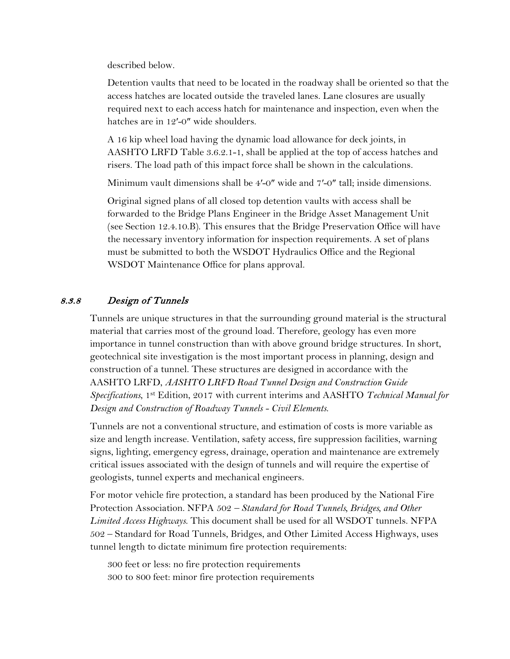described below.

Detention vaults that need to be located in the roadway shall be oriented so that the access hatches are located outside the traveled lanes. Lane closures are usually required next to each access hatch for maintenance and inspection, even when the hatches are in 12'-0" wide shoulders.

 risers. The load path of this impact force shall be shown in the calculations. A 16 kip wheel load having the dynamic load allowance for deck joints, in AASHTO LRFD Table 3.6.2.1-1, shall be applied at the top of access hatches and

Minimum vault dimensions shall be 4′-0″ wide and 7′-0″ tall; inside dimensions.

 the necessary inventory information for inspection requirements. A set of plans Original signed plans of all closed top detention vaults with access shall be forwarded to the Bridge Plans Engineer in the Bridge Asset Management Unit (see Section 12.4.10.B). This ensures that the Bridge Preservation Office will have must be submitted to both the WSDOT Hydraulics Office and the Regional WSDOT Maintenance Office for plans approval.

## 8.3.8 Design of Tunnels

 importance in tunnel construction than with above ground bridge structures. In short, Tunnels are unique structures in that the surrounding ground material is the structural material that carries most of the ground load. Therefore, geology has even more geotechnical site investigation is the most important process in planning, design and construction of a tunnel. These structures are designed in accordance with the AASHTO LRFD, *AASHTO LRFD Road Tunnel Design and Construction Guide Specifications*, 1st Edition, 2017 with current interims and AASHTO *Technical Manual for Design and Construction of Roadway Tunnels - Civil Elements*.

 Tunnels are not a conventional structure, and estimation of costs is more variable as size and length increase. Ventilation, safety access, fire suppression facilities, warning signs, lighting, emergency egress, drainage, operation and maintenance are extremely critical issues associated with the design of tunnels and will require the expertise of geologists, tunnel experts and mechanical engineers.

Protection Association. NFPA 502 - Standard for Road Tunnels, Bridges, and Other For motor vehicle fire protection, a standard has been produced by the National Fire *Limited Access Highways*. This document shall be used for all WSDOT tunnels. NFPA 502 – Standard for Road Tunnels, Bridges, and Other Limited Access Highways, uses tunnel length to dictate minimum fire protection requirements:

300 feet or less: no fire protection requirements 300 to 800 feet: minor fire protection requirements